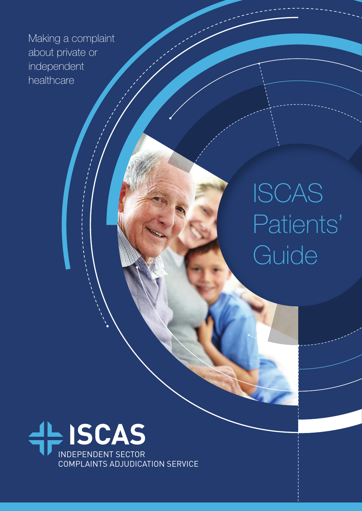Making a complaint about private or independent healthcare

# ISCAS Patients' Guide

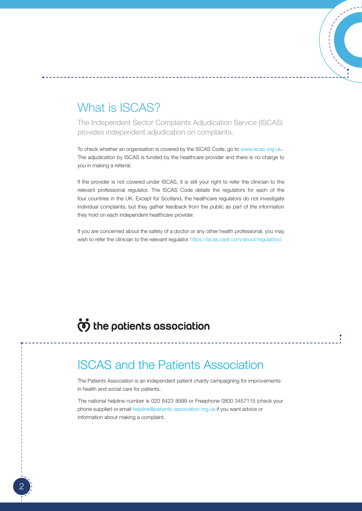### What is ISCAS?

The Independent Sector Complaints Adjudication Service (ISCAS) provides independent adjudication on complaints.

To check whether an organisation is covered by the ISCAS Code, go to www.iscas.org.uk. The adjudication by ISCAS is funded by the healthcare provider and there is no charge to you in making a referral.

If the provider is not covered under ISCAS, it is still your right to refer the clinician to the relevant professional regulator. The ISCAS Code details the regulators for each of the four countries in the UK. Except for Scotland, the healthcare regulators do not investigate individual complaints, but they gather feedback from the public as part of the information they hold on each independent healthcare provider.

If you are concerned about the safety of a doctor or any other health professional, you may wish to refer the clinician to the relevant regulator https://iscas.cedr.com/about/regulation/ *.*

## (0) the patients association

### ISCAS and the Patients Association

The Patients Association is an independent patient charity campaigning for improvements in health and social care for patients.

The national helpline number is 020 8423 8999 or Freephone 0800 3457115 (check your phone supplier) or email helpline@patients-association.org.uk if you want advice or information about making a complaint.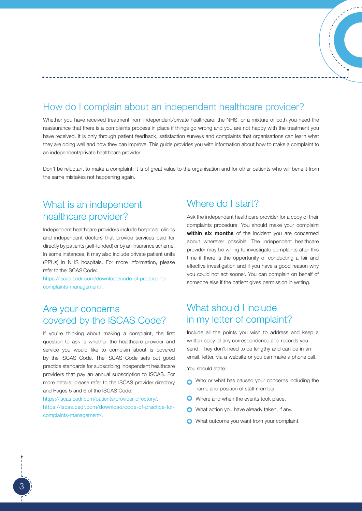### How do I complain about an independent healthcare provider?

Whether you have received treatment from independent/private healthcare, the NHS, or a mixture of both you need the reassurance that there is a complaints process in place if things go wrong and you are not happy with the treatment you have received. It is only through patient feedback, satisfaction surveys and complaints that organisations can learn what they are doing well and how they can improve. This guide provides you with information about how to make a complaint to an independent/private healthcare provider.

Don't be reluctant to make a complaint; it is of great value to the organisation and for other patients who will benefit from the same mistakes not happening again.

### What is an independent healthcare provider?

Independent healthcare providers include hospitals, clinics and independent doctors that provide services paid for directly by patients (self-funded) or by an insurance scheme. In some instances, it may also include private patient units (PPUs) in NHS hospitals. For more information, please refer to the ISCAS Code:

https://iscas.cedr.com/download/code-of-practice-forcomplaints-management/.

### Are your concerns covered by the ISCAS Code?

If you're thinking about making a complaint, the first question to ask is whether the healthcare provider and service you would like to complain about is covered by the ISCAS Code. The ISCAS Code sets out good practice standards for subscribing independent healthcare providers that pay an annual subscription to ISCAS. For more details, please refer to the ISCAS provider directory and Pages 5 and 6 of the ISCAS Code:

https://iscas.cedr.com/patients/provider-directory/. https://iscas.cedr.com/download/code-of-practice-forcomplaints-management/.

### Where do I start?

Ask the independent healthcare provider for a copy of their complaints procedure. You should make your complaint within six months of the incident you are concerned about wherever possible. The independent healthcare provider may be willing to investigate complaints after this time if there is the opportunity of conducting a fair and effective investigation and if you have a good reason why you could not act sooner. You can complain on behalf of someone else if the patient gives permission in writing.

### What should I include in my letter of complaint?

Include all the points you wish to address and keep a written copy of any correspondence and records you send. They don't need to be lengthy and can be in an email, letter, via a website or you can make a phone call.

You should state:

- Who or what has caused your concerns including the name and position of staff member.
- Where and when the events took place.
- O What action you have already taken, if any.
- O What outcome you want from your complaint.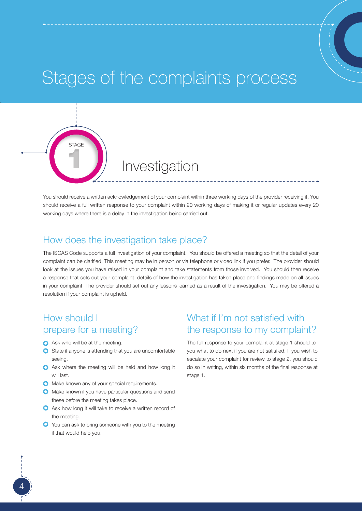# Stages of the complaints process



You should receive a written acknowledgement of your complaint within three working days of the provider receiving it. You should receive a full written response to your complaint within 20 working days of making it or regular updates every 20 working days where there is a delay in the investigation being carried out.

#### How does the investigation take place?

The ISCAS Code supports a full investigation of your complaint. You should be offered a meeting so that the detail of your complaint can be clarified. This meeting may be in person or via telephone or video link if you prefer. The provider should look at the issues you have raised in your complaint and take statements from those involved. You should then receive a response that sets out your complaint, details of how the investigation has taken place and findings made on all issues in your complaint. The provider should set out any lessons learned as a result of the investigation. You may be offered a resolution if your complaint is upheld.

### How should I prepare for a meeting?

Ask who will be at the meeting.

1

**STAGE** 

- **O** State if anyone is attending that you are uncomfortable seeing.
- Ask where the meeting will be held and how long it will last.
- **O** Make known any of your special requirements.
- **O** Make known if you have particular questions and send these before the meeting takes place.
- Ask how long it will take to receive a written record of the meeting.
- You can ask to bring someone with you to the meeting if that would help you.

### What if I'm not satisfied with the response to my complaint?

The full response to your complaint at stage 1 should tell you what to do next if you are not satisfied. If you wish to escalate your complaint for review to stage 2, you should do so in writing, within six months of the final response at stage 1.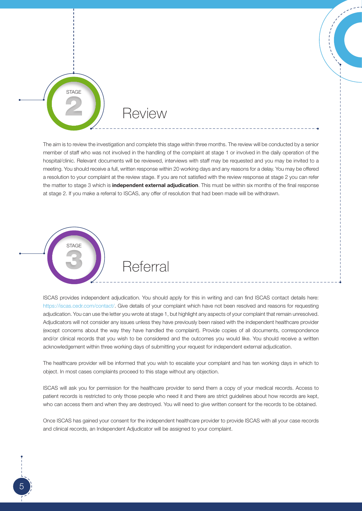Review

The aim is to review the investigation and complete this stage within three months. The review will be conducted by a senior member of staff who was not involved in the handling of the complaint at stage 1 or involved in the daily operation of the hospital/clinic. Relevant documents will be reviewed, interviews with staff may be requested and you may be invited to a meeting. You should receive a full, written response within 20 working days and any reasons for a delay. You may be offered a resolution to your complaint at the review stage. If you are not satisfied with the review response at stage 2 you can refer the matter to stage 3 which is **independent external adjudication**. This must be within six months of the final response at stage 2. If you make a referral to ISCAS, any offer of resolution that had been made will be withdrawn.



2

**STAGE** 

ISCAS provides independent adjudication. You should apply for this in writing and can find ISCAS contact details here: https://iscas.cedr.com/contact/. Give details of your complaint which have not been resolved and reasons for requesting adjudication. You can use the letter you wrote at stage 1, but highlight any aspects of your complaint that remain unresolved. Adjudicators will not consider any issues unless they have previously been raised with the independent healthcare provider (except concerns about the way they have handled the complaint). Provide copies of all documents, correspondence and/or clinical records that you wish to be considered and the outcomes you would like. You should receive a written acknowledgement within three working days of submitting your request for independent external adjudication.

The healthcare provider will be informed that you wish to escalate your complaint and has ten working days in which to object. In most cases complaints proceed to this stage without any objection.

ISCAS will ask you for permission for the healthcare provider to send them a copy of your medical records. Access to patient records is restricted to only those people who need it and there are strict guidelines about how records are kept, who can access them and when they are destroyed. You will need to give written consent for the records to be obtained.

Once ISCAS has gained your consent for the independent healthcare provider to provide ISCAS with all your case records and clinical records, an Independent Adjudicator will be assigned to your complaint.